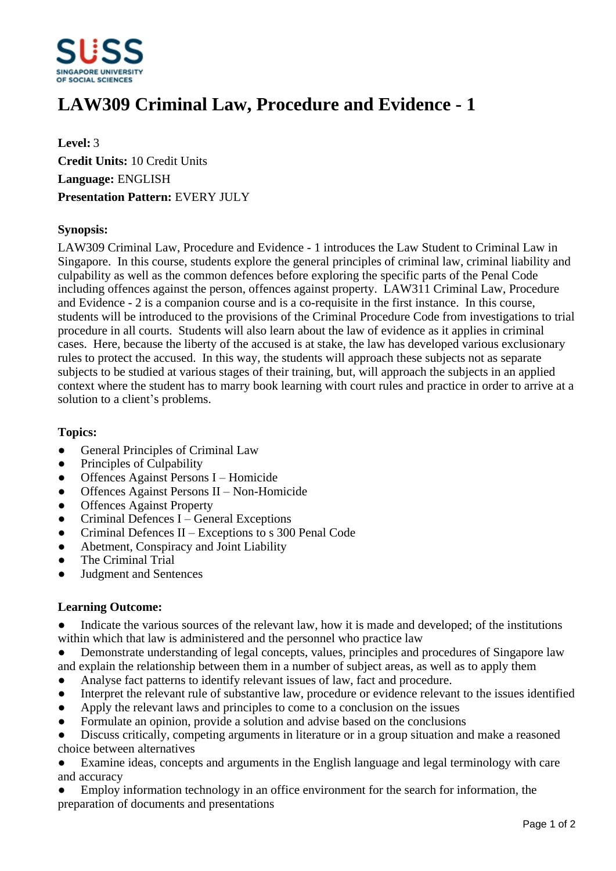

# **LAW309 Criminal Law, Procedure and Evidence - 1**

**Level:** 3 **Credit Units:** 10 Credit Units **Language:** ENGLISH **Presentation Pattern:** EVERY JULY

#### **Synopsis:**

LAW309 Criminal Law, Procedure and Evidence - 1 introduces the Law Student to Criminal Law in Singapore. In this course, students explore the general principles of criminal law, criminal liability and culpability as well as the common defences before exploring the specific parts of the Penal Code including offences against the person, offences against property. LAW311 Criminal Law, Procedure and Evidence - 2 is a companion course and is a co-requisite in the first instance. In this course, students will be introduced to the provisions of the Criminal Procedure Code from investigations to trial procedure in all courts. Students will also learn about the law of evidence as it applies in criminal cases. Here, because the liberty of the accused is at stake, the law has developed various exclusionary rules to protect the accused. In this way, the students will approach these subjects not as separate subjects to be studied at various stages of their training, but, will approach the subjects in an applied context where the student has to marry book learning with court rules and practice in order to arrive at a solution to a client's problems.

#### **Topics:**

- General Principles of Criminal Law
- Principles of Culpability
- Offences Against Persons I Homicide
- $\bullet$  Offences Against Persons II Non-Homicide
- Offences Against Property
- $\bullet$  Criminal Defences I General Exceptions
- $\bullet$  Criminal Defences II Exceptions to s 300 Penal Code
- Abetment, Conspiracy and Joint Liability
- ƔThe Criminal Trial
- ƔJudgment and Sentences

### **Learning Outcome:**

• Indicate the various sources of the relevant law, how it is made and developed; of the institutions within which that law is administered and the personnel who practice law

• Demonstrate understanding of legal concepts, values, principles and procedures of Singapore law and explain the relationship between them in a number of subject areas, as well as to apply them

- Analyse fact patterns to identify relevant issues of law, fact and procedure.
- Interpret the relevant rule of substantive law, procedure or evidence relevant to the issues identified
- $\bullet$  Apply the relevant laws and principles to come to a conclusion on the issues
- Formulate an opinion, provide a solution and advise based on the conclusions

• Discuss critically, competing arguments in literature or in a group situation and make a reasoned choice between alternatives

Examine ideas, concepts and arguments in the English language and legal terminology with care and accuracy

Employ information technology in an office environment for the search for information, the preparation of documents and presentations